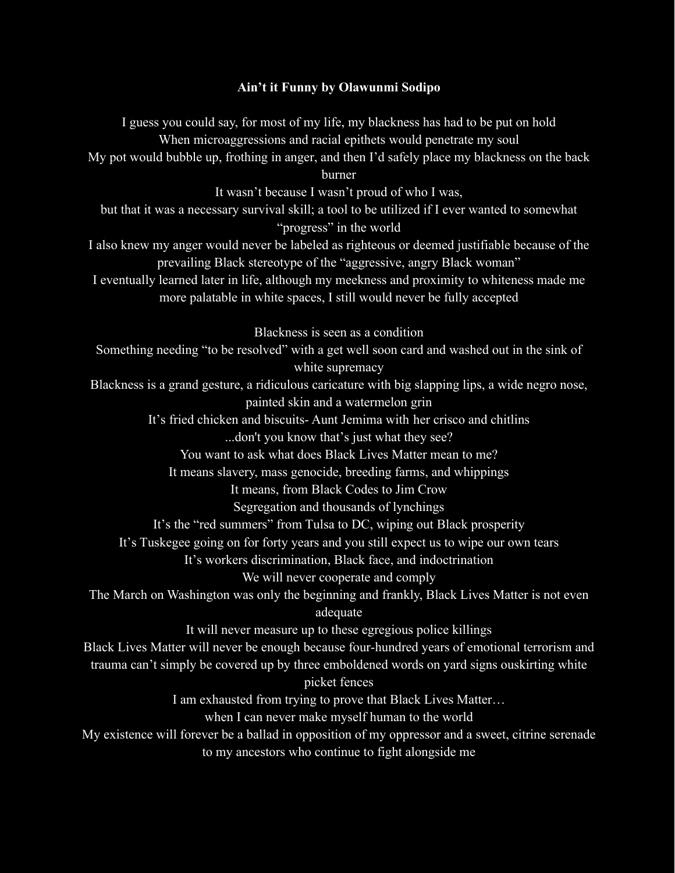## **Ain't it Funny by Olawunmi Sodipo**

I guess you could say, for most of my life, my blackness has had to be put on hold When microaggressions and racial epithets would penetrate my soul My pot would bubble up, frothing in anger, and then I'd safely place my blackness on the back burner It wasn't because I wasn't proud of who I was, but that it was a necessary survival skill; a tool to be utilized if I ever wanted to somewhat "progress" in the world I also knew my anger would never be labeled as righteous or deemed justifiable because of the prevailing Black stereotype of the "aggressive, angry Black woman" I eventually learned later in life, although my meekness and proximity to whiteness made me more palatable in white spaces, I still would never be fully accepted Blackness is seen as a condition Something needing "to be resolved" with a get well soon card and washed out in the sink of white supremacy Blackness is a grand gesture, a ridiculous caricature with big slapping lips, a wide negro nose, painted skin and a watermelon grin It's fried chicken and biscuits- Aunt Jemima with her crisco and chitlins ...don't you know that's just what they see? You want to ask what does Black Lives Matter mean to me? It means slavery, mass genocide, breeding farms, and whippings It means, from Black Codes to Jim Crow Segregation and thousands of lynchings It's the "red summers" from Tulsa to DC, wiping out Black prosperity It's Tuskegee going on for forty years and you still expect us to wipe our own tears It's workers discrimination, Black face, and indoctrination We will never cooperate and comply The March on Washington was only the beginning and frankly, Black Lives Matter is not even adequate It will never measure up to these egregious police killings Black Lives Matter will never be enough because four-hundred years of emotional terrorism and trauma can't simply be covered up by three emboldened words on yard signs ouskirting white picket fences I am exhausted from trying to prove that Black Lives Matter… when I can never make myself human to the world My existence will forever be a ballad in opposition of my oppressor and a sweet, citrine serenade to my ancestors who continue to fight alongside me